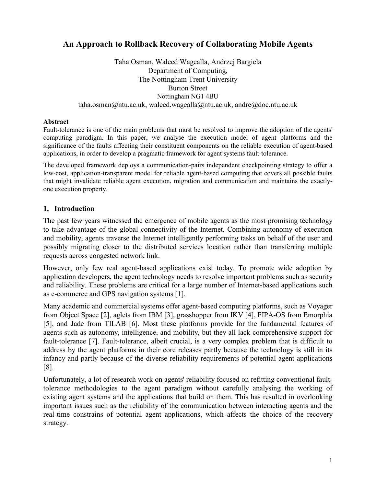# **An Approach to Rollback Recovery of Collaborating Mobile Agents**

Taha Osman, Waleed Wagealla, Andrzej Bargiela Department of Computing, The Nottingham Trent University Burton Street Nottingham NG1 4BU taha.osman@ntu.ac.uk, waleed.wagealla@ntu.ac.uk, andre@doc.ntu.ac.uk

#### **Abstract**

Fault-tolerance is one of the main problems that must be resolved to improve the adoption of the agents' computing paradigm. In this paper, we analyse the execution model of agent platforms and the significance of the faults affecting their constituent components on the reliable execution of agent-based applications, in order to develop a pragmatic framework for agent systems fault-tolerance.

The developed framework deploys a communication-pairs independent checkpointing strategy to offer a low-cost, application-transparent model for reliable agent-based computing that covers all possible faults that might invalidate reliable agent execution, migration and communication and maintains the exactlyone execution property.

#### **1. Introduction**

The past few years witnessed the emergence of mobile agents as the most promising technology to take advantage of the global connectivity of the Internet. Combining autonomy of execution and mobility, agents traverse the Internet intelligently performing tasks on behalf of the user and possibly migrating closer to the distributed services location rather than transferring multiple requests across congested network link.

However, only few real agent-based applications exist today. To promote wide adoption by application developers, the agent technology needs to resolve important problems such as security and reliability. These problems are critical for a large number of Internet-based applications such as e-commerce and GPS navigation systems [[1\]](#page-11-0).

Many academic and commercial systems offer agent-based computing platforms, such as Voyager from Object Space [[2\]](#page-11-1), aglets from IBM [[3\]](#page-11-2), grasshopper from IKV [[4\]](#page-11-3), FIPA-OS from Emorphia [[5\]](#page-11-4), and Jade from TILAB [\[6\]](#page-11-5). Most these platforms provide for the fundamental features of agents such as autonomy, intelligence, and mobility, but they all lack comprehensive support for fault-tolerance [[7\]](#page-11-6). Fault-tolerance, albeit crucial, is a very complex problem that is difficult to address by the agent platforms in their core releases partly because the technology is still in its infancy and partly because of the diverse reliability requirements of potential agent applications [[8\]](#page-11-7).

Unfortunately, a lot of research work on agents' reliability focused on refitting conventional faulttolerance methodologies to the agent paradigm without carefully analysing the working of existing agent systems and the applications that build on them. This has resulted in overlooking important issues such as the reliability of the communication between interacting agents and the real-time constrains of potential agent applications, which affects the choice of the recovery strategy.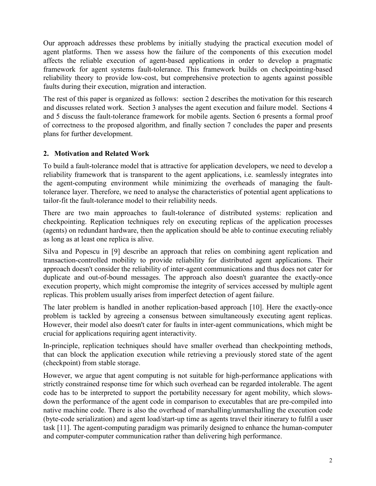Our approach addresses these problems by initially studying the practical execution model of agent platforms. Then we assess how the failure of the components of this execution model affects the reliable execution of agent-based applications in order to develop a pragmatic framework for agent systems fault-tolerance. This framework builds on checkpointing-based reliability theory to provide low-cost, but comprehensive protection to agents against possible faults during their execution, migration and interaction.

The rest of this paper is organized as follows: section 2 describes the motivation for this research and discusses related work. Section 3 analyses the agent execution and failure model. Sections 4 and 5 discuss the fault-tolerance framework for mobile agents. Section 6 presents a formal proof of correctness to the proposed algorithm, and finally section 7 concludes the paper and presents plans for further development.

## **2. Motivation and Related Work**

To build a fault-tolerance model that is attractive for application developers, we need to develop a reliability framework that is transparent to the agent applications, i.e. seamlessly integrates into the agent-computing environment while minimizing the overheads of managing the faulttolerance layer. Therefore, we need to analyse the characteristics of potential agent applications to tailor-fit the fault-tolerance model to their reliability needs.

There are two main approaches to fault-tolerance of distributed systems: replication and checkpointing. Replication techniques rely on executing replicas of the application processes (agents) on redundant hardware, then the application should be able to continue executing reliably as long as at least one replica is alive.

Silva and Popescu in [[9\]](#page-11-8) describe an approach that relies on combining agent replication and transaction-controlled mobility to provide reliability for distributed agent applications. Their approach doesn't consider the reliability of inter-agent communications and thus does not cater for duplicate and out-of-bound messages. The approach also doesn't guarantee the exactly-once execution property, which might compromise the integrity of services accessed by multiple agent replicas. This problem usually arises from imperfect detection of agent failure.

The later problem is handled in another replication-based approach [[10\]](#page-11-9). Here the exactly-once problem is tackled by agreeing a consensus between simultaneously executing agent replicas. However, their model also doesn't cater for faults in inter-agent communications, which might be crucial for applications requiring agent interactivity.

In-principle, replication techniques should have smaller overhead than checkpointing methods, that can block the application execution while retrieving a previously stored state of the agent (checkpoint) from stable storage.

However, we argue that agent computing is not suitable for high-performance applications with strictly constrained response time for which such overhead can be regarded intolerable. The agent code has to be interpreted to support the portability necessary for agent mobility, which slowsdown the performance of the agent code in comparison to executables that are pre-compiled into native machine code. There is also the overhead of marshalling/unmarshalling the execution code (byte-code serialization) and agent load/start-up time as agents travel their itinerary to fulfil a user task [[11\]](#page-11-10). The agent-computing paradigm was primarily designed to enhance the human-computer and computer-computer communication rather than delivering high performance.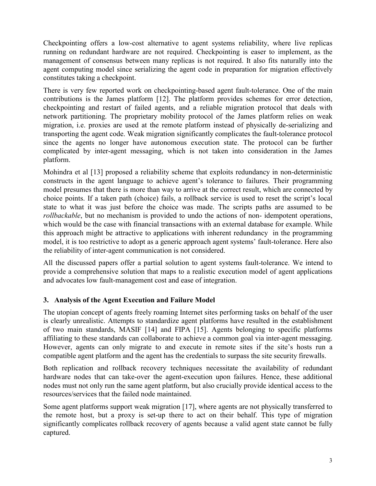Checkpointing offers a low-cost alternative to agent systems reliability, where live replicas running on redundant hardware are not required. Checkpointing is easer to implement, as the management of consensus between many replicas is not required. It also fits naturally into the agent computing model since serializing the agent code in preparation for migration effectively constitutes taking a checkpoint.

There is very few reported work on checkpointing-based agent fault-tolerance. One of the main contributions is the James platform [[12\]](#page-11-11). The platform provides schemes for error detection, checkpointing and restart of failed agents, and a reliable migration protocol that deals with network partitioning. The proprietary mobility protocol of the James platform relies on weak migration, i.e. proxies are used at the remote platform instead of physically de-serializing and transporting the agent code. Weak migration significantly complicates the fault-tolerance protocol since the agents no longer have autonomous execution state. The protocol can be further complicated by inter-agent messaging, which is not taken into consideration in the James platform.

Mohindra et al [[13\]](#page-11-12) proposed a reliability scheme that exploits redundancy in non-deterministic constructs in the agent language to achieve agent's tolerance to failures. Their programming model presumes that there is more than way to arrive at the correct result, which are connected by choice points. If a taken path (choice) fails, a rollback service is used to reset the script's local state to what it was just before the choice was made. The scripts paths are assumed to be *rollbackable*, but no mechanism is provided to undo the actions of non- idempotent operations, which would be the case with financial transactions with an external database for example. While this approach might be attractive to applications with inherent redundancy in the programming model, it is too restrictive to adopt as a generic approach agent systems' fault-tolerance. Here also the reliability of inter-agent communication is not considered.

All the discussed papers offer a partial solution to agent systems fault-tolerance. We intend to provide a comprehensive solution that maps to a realistic execution model of agent applications and advocates low fault-management cost and ease of integration.

## **3. Analysis of the Agent Execution and Failure Model**

The utopian concept of agents freely roaming Internet sites performing tasks on behalf of the user is clearly unrealistic. Attempts to standardize agent platforms have resulted in the establishment of two main standards, MASIF [[14\]](#page-11-13) and FIPA [[15\]](#page-11-14). Agents belonging to specific platforms affiliating to these standards can collaborate to achieve a common goal via inter-agent messaging. However, agents can only migrate to and execute in remote sites if the site's hosts run a compatible agent platform and the agent has the credentials to surpass the site security firewalls.

Both replication and rollback recovery techniques necessitate the availability of redundant hardware nodes that can take-over the agent-execution upon failures. Hence, these additional nodes must not only run the same agent platform, but also crucially provide identical access to the resources/services that the failed node maintained.

Some agent platforms support weak migration [[17\]](#page-12-0), where agents are not physically transferred to the remote host, but a proxy is set-up there to act on their behalf. This type of migration significantly complicates rollback recovery of agents because a valid agent state cannot be fully captured.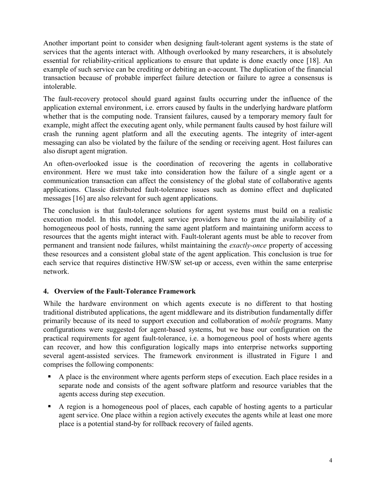Another important point to consider when designing fault-tolerant agent systems is the state of services that the agents interact with. Although overlooked by many researchers, it is absolutely essential for reliability-critical applications to ensure that update is done exactly once [[18\]](#page-12-1). An example of such service can be crediting or debiting an e-account. The duplication of the financial transaction because of probable imperfect failure detection or failure to agree a consensus is intolerable.

The fault-recovery protocol should guard against faults occurring under the influence of the application external environment, i.e. errors caused by faults in the underlying hardware platform whether that is the computing node. Transient failures, caused by a temporary memory fault for example, might affect the executing agent only, while permanent faults caused by host failure will crash the running agent platform and all the executing agents. The integrity of inter-agent messaging can also be violated by the failure of the sending or receiving agent. Host failures can also disrupt agent migration.

An often-overlooked issue is the coordination of recovering the agents in collaborative environment. Here we must take into consideration how the failure of a single agent or a communication transaction can affect the consistency of the global state of collaborative agents applications. Classic distributed fault-tolerance issues such as domino effect and duplicated messages [[16\]](#page-12-2) are also relevant for such agent applications.

The conclusion is that fault-tolerance solutions for agent systems must build on a realistic execution model. In this model, agent service providers have to grant the availability of a homogeneous pool of hosts, running the same agent platform and maintaining uniform access to resources that the agents might interact with. Fault-tolerant agents must be able to recover from permanent and transient node failures, whilst maintaining the *exactly-once* property of accessing these resources and a consistent global state of the agent application. This conclusion is true for each service that requires distinctive HW/SW set-up or access, even within the same enterprise network.

## **4. Overview of the Fault-Tolerance Framework**

While the hardware environment on which agents execute is no different to that hosting traditional distributed applications, the agent middleware and its distribution fundamentally differ primarily because of its need to support execution and collaboration of *mobile* programs. Many configurations were suggested for agent-based systems, but we base our configuration on the practical requirements for agent fault-tolerance, i.e. a homogeneous pool of hosts where agents can recover, and how this configuration logically maps into enterprise networks supporting several agent-assisted services. The framework environment is illustrated in Figure 1 and comprises the following components:

- -A place is the environment where agents perform steps of execution. Each place resides in a separate node and consists of the agent software platform and resource variables that the agents access during step execution.
- -A region is a homogeneous pool of places, each capable of hosting agents to a particular agent service. One place within a region actively executes the agents while at least one more place is a potential stand-by for rollback recovery of failed agents.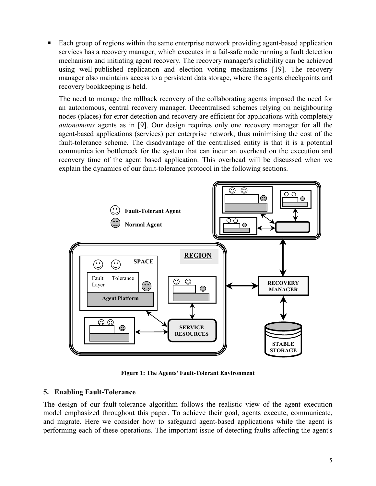-Each group of regions within the same enterprise network providing agent-based application services has a recovery manager, which executes in a fail-safe node running a fault detection mechanism and initiating agent recovery. The recovery manager's reliability can be achieved using well-published replication and election voting mechanisms [[19\]](#page-12-3). The recovery manager also maintains access to a persistent data storage, where the agents checkpoints and recovery bookkeeping is held.

The need to manage the rollback recovery of the collaborating agents imposed the need for an autonomous, central recovery manager. Decentralised schemes relying on neighbouring nodes (places) for error detection and recovery are efficient for applications with completely *autonomous* agents as in [\[9\]](#page-11-8). Our design requires only one recovery manager for all the agent-based applications (services) per enterprise network, thus minimising the cost of the fault-tolerance scheme. The disadvantage of the centralised entity is that it is a potential communication bottleneck for the system that can incur an overhead on the execution and recovery time of the agent based application. This overhead will be discussed when we explain the dynamics of our fault-tolerance protocol in the following sections.



**Figure 1: The Agents' Fault-Tolerant Environment** 

### **5. Enabling Fault-Tolerance**

The design of our fault-tolerance algorithm follows the realistic view of the agent execution model emphasized throughout this paper. To achieve their goal, agents execute, communicate, and migrate. Here we consider how to safeguard agent-based applications while the agent is performing each of these operations. The important issue of detecting faults affecting the agent's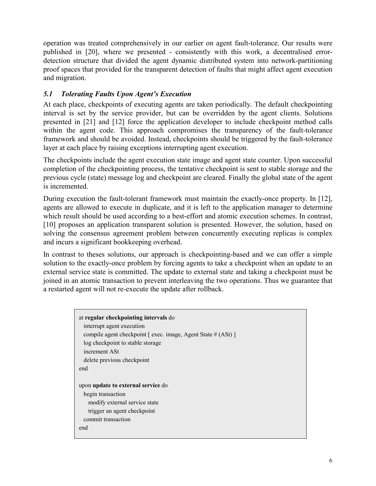operation was treated comprehensively in our earlier on agent fault-tolerance. Our results were published in [\[20\]](#page-12-4), where we presented - consistently with this work, a decentralised errordetection structure that divided the agent dynamic distributed system into network-partitioning proof spaces that provided for the transparent detection of faults that might affect agent execution and migration.

## *5.1 Tolerating Faults Upon Agent's Execution*

At each place, checkpoints of executing agents are taken periodically. The default checkpointing interval is set by the service provider, but can be overridden by the agent clients. Solutions presented in [[21\]](#page-12-5) and [[12\]](#page-11-11) force the application developer to include checkpoint method calls within the agent code. This approach compromises the transparency of the fault-tolerance framework and should be avoided. Instead, checkpoints should be triggered by the fault-tolerance layer at each place by raising exceptions interrupting agent execution.

The checkpoints include the agent execution state image and agent state counter. Upon successful completion of the checkpointing process, the tentative checkpoint is sent to stable storage and the previous cycle (state) message log and checkpoint are cleared. Finally the global state of the agent is incremented.

During execution the fault-tolerant framework must maintain the exactly-once property. In [[12\]](#page-11-11), agents are allowed to execute in duplicate, and it is left to the application manager to determine which result should be used according to a best-effort and atomic execution schemes. In contrast, [[10\]](#page-11-9) proposes an application transparent solution is presented. However, the solution, based on solving the consensus agreement problem between concurrently executing replicas is complex and incurs a significant bookkeeping overhead.

In contrast to theses solutions, our approach is checkpointing-based and we can offer a simple solution to the exactly-once problem by forcing agents to take a checkpoint when an update to an external service state is committed. The update to external state and taking a checkpoint must be joined in an atomic transaction to prevent interleaving the two operations. Thus we guarantee that a restarted agent will not re-execute the update after rollback.

| interrupt agent execution<br>compile agent checkpoint [ exec. image, Agent State # (ASt) ]<br>log checkpoint to stable storage<br>increment ASt<br>delete previous checkpoint |
|-------------------------------------------------------------------------------------------------------------------------------------------------------------------------------|
| end                                                                                                                                                                           |
| upon update to external service do<br>begin transaction<br>modify external service state<br>trigger an agent checkpoint<br>commit transaction<br>end                          |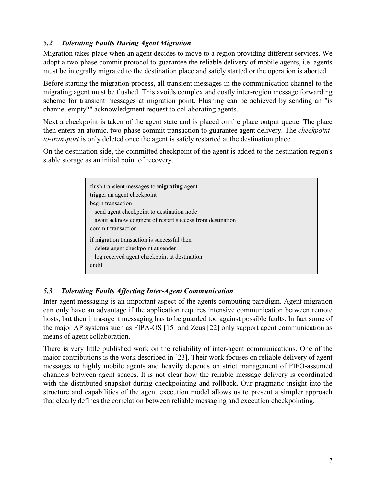## *5.2 Tolerating Faults During Agent Migration*

Migration takes place when an agent decides to move to a region providing different services. We adopt a two-phase commit protocol to guarantee the reliable delivery of mobile agents, i.e. agents must be integrally migrated to the destination place and safely started or the operation is aborted.

Before starting the migration process, all transient messages in the communication channel to the migrating agent must be flushed. This avoids complex and costly inter-region message forwarding scheme for transient messages at migration point. Flushing can be achieved by sending an "is channel empty?" acknowledgment request to collaborating agents.

Next a checkpoint is taken of the agent state and is placed on the place output queue. The place then enters an atomic, two-phase commit transaction to guarantee agent delivery. The *checkpointto-transport* is only deleted once the agent is safely restarted at the destination place.

On the destination side, the committed checkpoint of the agent is added to the destination region's stable storage as an initial point of recovery.

| flush transient messages to <b>migrating</b> agent       |
|----------------------------------------------------------|
| trigger an agent checkpoint                              |
| begin transaction                                        |
| send agent checkpoint to destination node                |
| await acknowledgment of restart success from destination |
| commit transaction                                       |
| if migration transaction is successful then              |
| delete agent checkpoint at sender                        |
| log received agent checkpoint at destination             |
| endif                                                    |
|                                                          |

# *5.3 Tolerating Faults Affecting Inter-Agent Communication*

Inter-agent messaging is an important aspect of the agents computing paradigm. Agent migration can only have an advantage if the application requires intensive communication between remote hosts, but then intra-agent messaging has to be guarded too against possible faults. In fact some of the major AP systems such as FIPA-OS [[15\]](#page-11-14) and Zeus [\[22\]](#page-12-6) only support agent communication as means of agent collaboration.

There is very little published work on the reliability of inter-agent communications. One of the major contributions is the work described in [[23\]](#page-12-7). Their work focuses on reliable delivery of agent messages to highly mobile agents and heavily depends on strict management of FIFO-assumed channels between agent spaces. It is not clear how the reliable message delivery is coordinated with the distributed snapshot during checkpointing and rollback. Our pragmatic insight into the structure and capabilities of the agent execution model allows us to present a simpler approach that clearly defines the correlation between reliable messaging and execution checkpointing.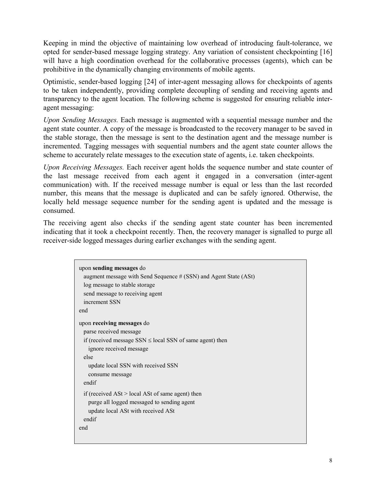Keeping in mind the objective of maintaining low overhead of introducing fault-tolerance, we opted for sender-based message logging strategy. Any variation of consistent checkpointing [\[16\]](#page-12-2) will have a high coordination overhead for the collaborative processes (agents), which can be prohibitive in the dynamically changing environments of mobile agents.

Optimistic, sender-based logging [[24\]](#page-12-8) of inter-agent messaging allows for checkpoints of agents to be taken independently, providing complete decoupling of sending and receiving agents and transparency to the agent location. The following scheme is suggested for ensuring reliable interagent messaging:

*Upon Sending Messages.* Each message is augmented with a sequential message number and the agent state counter. A copy of the message is broadcasted to the recovery manager to be saved in the stable storage, then the message is sent to the destination agent and the message number is incremented. Tagging messages with sequential numbers and the agent state counter allows the scheme to accurately relate messages to the execution state of agents, i.e. taken checkpoints.

*Upon Receiving Messages.* Each receiver agent holds the sequence number and state counter of the last message received from each agent it engaged in a conversation (inter-agent communication) with. If the received message number is equal or less than the last recorded number, this means that the message is duplicated and can be safely ignored. Otherwise, the locally held message sequence number for the sending agent is updated and the message is consumed.

The receiving agent also checks if the sending agent state counter has been incremented indicating that it took a checkpoint recently. Then, the recovery manager is signalled to purge all receiver-side logged messages during earlier exchanges with the sending agent.

| upon receiving messages do                                                                                                                                      |
|-----------------------------------------------------------------------------------------------------------------------------------------------------------------|
| parse received message                                                                                                                                          |
| if (received message $SSN \leq local SSN$ of same agent) then<br>ignore received message                                                                        |
| else                                                                                                                                                            |
| update local SSN with received SSN<br>consume message                                                                                                           |
| endif                                                                                                                                                           |
| if (received $\text{AS}t$ > local $\text{AS}t$ of same agent) then<br>purge all logged messaged to sending agent<br>update local ASt with received ASt<br>endif |
| end                                                                                                                                                             |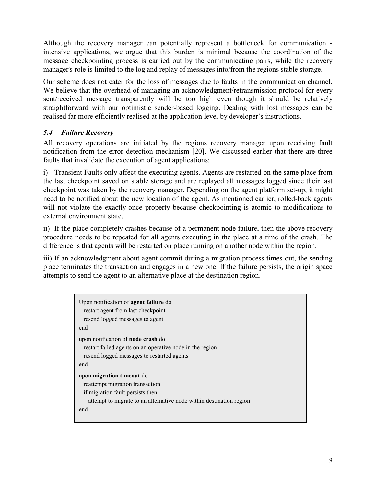Although the recovery manager can potentially represent a bottleneck for communication intensive applications, we argue that this burden is minimal because the coordination of the message checkpointing process is carried out by the communicating pairs, while the recovery manager's role is limited to the log and replay of messages into/from the regions stable storage.

Our scheme does not cater for the loss of messages due to faults in the communication channel. We believe that the overhead of managing an acknowledgment/retransmission protocol for every sent/received message transparently will be too high even though it should be relatively straightforward with our optimistic sender-based logging. Dealing with lost messages can be realised far more efficiently realised at the application level by developer's instructions.

## *5.4 Failure Recovery*

All recovery operations are initiated by the regions recovery manager upon receiving fault notification from the error detection mechanism [[20\]](#page-12-4). We discussed earlier that there are three faults that invalidate the execution of agent applications:

i) Transient Faults only affect the executing agents. Agents are restarted on the same place from the last checkpoint saved on stable storage and are replayed all messages logged since their last checkpoint was taken by the recovery manager. Depending on the agent platform set-up, it might need to be notified about the new location of the agent. As mentioned earlier, rolled-back agents will not violate the exactly-once property because checkpointing is atomic to modifications to external environment state.

ii) If the place completely crashes because of a permanent node failure, then the above recovery procedure needs to be repeated for all agents executing in the place at a time of the crash. The difference is that agents will be restarted on place running on another node within the region.

iii) If an acknowledgment about agent commit during a migration process times-out, the sending place terminates the transaction and engages in a new one. If the failure persists, the origin space attempts to send the agent to an alternative place at the destination region.

| Upon notification of <b>agent failure</b> do<br>restart agent from last checkpoint<br>resend logged messages to agent<br>end |
|------------------------------------------------------------------------------------------------------------------------------|
| upon notification of <b>node crash</b> do                                                                                    |
| restart failed agents on an operative node in the region                                                                     |
| resend logged messages to restarted agents                                                                                   |
| end                                                                                                                          |
| upon migration timeout do                                                                                                    |
| reattempt migration transaction                                                                                              |
| if migration fault persists then                                                                                             |
| attempt to migrate to an alternative node within destination region                                                          |
| end                                                                                                                          |
|                                                                                                                              |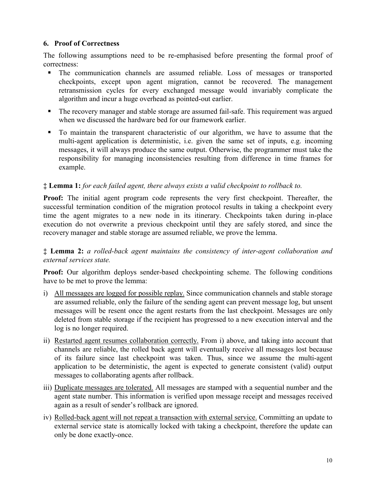### **6. Proof of Correctness**

The following assumptions need to be re-emphasised before presenting the formal proof of correctness:

- -The communication channels are assumed reliable. Loss of messages or transported checkpoints, except upon agent migration, cannot be recovered. The management retransmission cycles for every exchanged message would invariably complicate the algorithm and incur a huge overhead as pointed-out earlier.
- -The recovery manager and stable storage are assumed fail-safe. This requirement was argued when we discussed the hardware bed for our framework earlier.
- -To maintain the transparent characteristic of our algorithm, we have to assume that the multi-agent application is deterministic, i.e. given the same set of inputs, e.g. incoming messages, it will always produce the same output. Otherwise, the programmer must take the responsibility for managing inconsistencies resulting from difference in time frames for example.

### **‡ Lemma 1:** *for each failed agent, there always exists a valid checkpoint to rollback to.*

**Proof:** The initial agent program code represents the very first checkpoint. Thereafter, the successful termination condition of the migration protocol results in taking a checkpoint every time the agent migrates to a new node in its itinerary. Checkpoints taken during in-place execution do not overwrite a previous checkpoint until they are safely stored, and since the recovery manager and stable storage are assumed reliable, we prove the lemma.

**‡ Lemma 2:** *a rolled-back agent maintains the consistency of inter-agent collaboration and external services state.*

**Proof:** Our algorithm deploys sender-based checkpointing scheme. The following conditions have to be met to prove the lemma:

- i) All messages are logged for possible replay. Since communication channels and stable storage are assumed reliable, only the failure of the sending agent can prevent message log, but unsent messages will be resent once the agent restarts from the last checkpoint. Messages are only deleted from stable storage if the recipient has progressed to a new execution interval and the log is no longer required.
- ii) Restarted agent resumes collaboration correctly. From i) above, and taking into account that channels are reliable, the rolled back agent will eventually receive all messages lost because of its failure since last checkpoint was taken. Thus, since we assume the multi-agent application to be deterministic, the agent is expected to generate consistent (valid) output messages to collaborating agents after rollback.
- iii) Duplicate messages are tolerated. All messages are stamped with a sequential number and the agent state number. This information is verified upon message receipt and messages received again as a result of sender's rollback are ignored.
- iv) Rolled-back agent will not repeat a transaction with external service. Committing an update to external service state is atomically locked with taking a checkpoint, therefore the update can only be done exactly-once.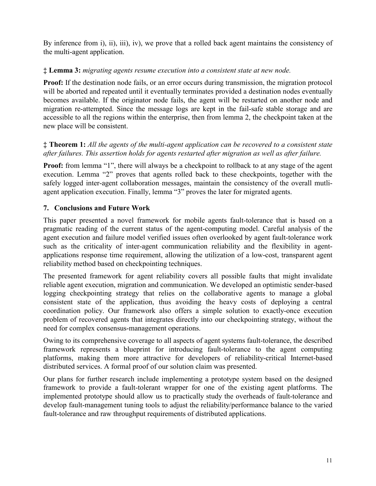By inference from i), ii), iii), iv), we prove that a rolled back agent maintains the consistency of the multi-agent application.

### **‡ Lemma 3:** *migrating agents resume execution into a consistent state at new node.*

**Proof:** If the destination node fails, or an error occurs during transmission, the migration protocol will be aborted and repeated until it eventually terminates provided a destination nodes eventually becomes available. If the originator node fails, the agent will be restarted on another node and migration re-attempted. Since the message logs are kept in the fail-safe stable storage and are accessible to all the regions within the enterprise, then from lemma 2, the checkpoint taken at the new place will be consistent.

## **‡ Theorem 1:** *All the agents of the multi-agent application can be recovered to a consistent state after failures. This assertion holds for agents restarted after migration as well as after failure.*

**Proof:** from lemma "1", there will always be a checkpoint to rollback to at any stage of the agent execution. Lemma "2" proves that agents rolled back to these checkpoints, together with the safely logged inter-agent collaboration messages, maintain the consistency of the overall mutliagent application execution. Finally, lemma "3" proves the later for migrated agents.

## **7. Conclusions and Future Work**

This paper presented a novel framework for mobile agents fault-tolerance that is based on a pragmatic reading of the current status of the agent-computing model. Careful analysis of the agent execution and failure model verified issues often overlooked by agent fault-tolerance work such as the criticality of inter-agent communication reliability and the flexibility in agentapplications response time requirement, allowing the utilization of a low-cost, transparent agent reliability method based on checkpointing techniques.

The presented framework for agent reliability covers all possible faults that might invalidate reliable agent execution, migration and communication. We developed an optimistic sender-based logging checkpointing strategy that relies on the collaborative agents to manage a global consistent state of the application, thus avoiding the heavy costs of deploying a central coordination policy. Our framework also offers a simple solution to exactly-once execution problem of recovered agents that integrates directly into our checkpointing strategy, without the need for complex consensus-management operations.

Owing to its comprehensive coverage to all aspects of agent systems fault-tolerance, the described framework represents a blueprint for introducing fault-tolerance to the agent computing platforms, making them more attractive for developers of reliability-critical Internet-based distributed services. A formal proof of our solution claim was presented.

Our plans for further research include implementing a prototype system based on the designed framework to provide a fault-tolerant wrapper for one of the existing agent platforms. The implemented prototype should allow us to practically study the overheads of fault-tolerance and develop fault-management tuning tools to adjust the reliability/performance balance to the varied fault-tolerance and raw throughput requirements of distributed applications.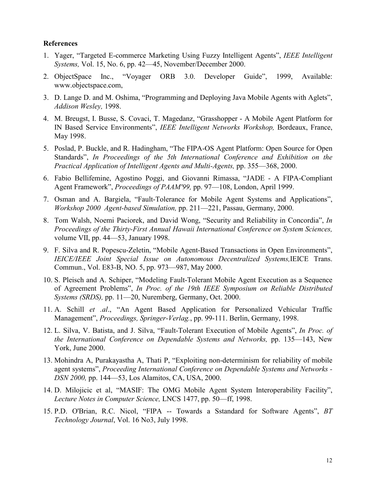#### **References**

- <span id="page-11-0"></span>1. Yager, "Targeted E-commerce Marketing Using Fuzzy Intelligent Agents", *IEEE Intelligent Systems,* Vol. 15, No. 6, pp. 42—45, November/December 2000.
- <span id="page-11-1"></span>2. ObjectSpace Inc., "Voyager ORB 3.0. Developer Guide", 1999, Available: www.objectspace.com,
- <span id="page-11-2"></span>3. D. Lange D. and M. Oshima, "Programming and Deploying Java Mobile Agents with Aglets", *Addison Wesley,* 1998.
- <span id="page-11-3"></span>4. M. Breugst, I. Busse, S. Covaci, T. Magedanz, "Grasshopper - A Mobile Agent Platform for IN Based Service Environments", *IEEE Intelligent Networks Workshop,* Bordeaux, France, May 1998.
- <span id="page-11-4"></span>5. Poslad, P. Buckle, and R. Hadingham, "The FIPA-OS Agent Platform: Open Source for Open Standards", *In Proceedings of the 5th International Conference and Exhibition on the Practical Application of Intelligent Agents and Multi-Agents,* pp. 355—368, 2000.
- <span id="page-11-5"></span>6. Fabio Bellifemine, Agostino Poggi, and Giovanni Rimassa, "JADE - A FIPA-Compliant Agent Framework", *Proceedings of PAAM'99,* pp. 97—108, London, April 1999.
- <span id="page-11-6"></span>7. Osman and A. Bargiela, "Fault-Tolerance for Mobile Agent Systems and Applications", *Workshop 2000 Agent-based Simulation,* pp. 211—221, Passau, Germany, 2000.
- <span id="page-11-7"></span>8. Tom Walsh, Noemi Paciorek, and David Wong, "Security and Reliability in Concordia", *In Proceedings of the Thirty-First Annual Hawaii International Conference on System Sciences,* volume VII, pp. 44—53, January 1998.
- <span id="page-11-8"></span>9. F. Silva and R. Popescu-Zeletin, "Mobile Agent-Based Transactions in Open Environments", *IEICE/IEEE Joint Special Issue on Autonomous Decentralized Systems,*IEICE Trans. Commun., Vol. E83-B, NO. 5, pp. 973—987, May 2000.
- <span id="page-11-9"></span>10. S. Pleisch and A. Schiper, "Modeling Fault-Tolerant Mobile Agent Execution as a Sequence of Agreement Problems", *In Proc. of the 19th IEEE Symposium on Reliable Distributed Systems (SRDS),* pp. 11—20, Nuremberg, Germany, Oct. 2000.
- <span id="page-11-10"></span>11. A. Schill *et .al*., "An Agent Based Application for Personalized Vehicular Traffic Management", *Proceedings, Springer-Verlag.*, pp. 99-111. Berlin, Germany, 1998.
- <span id="page-11-11"></span>12. L. Silva, V. Batista, and J. Silva, "Fault-Tolerant Execution of Mobile Agents", *In Proc. of the International Conference on Dependable Systems and Networks,* pp. 135—143, New York, June 2000.
- <span id="page-11-12"></span>13. Mohindra A, Purakayastha A, Thati P, "Exploiting non-determinism for reliability of mobile agent systems", *Proceeding International Conference on Dependable Systems and Networks - DSN 2000,* pp. 144—53, Los Alamitos, CA, USA, 2000.
- <span id="page-11-13"></span>14. D. Milojicic et al, "MASIF: The OMG Mobile Agent System Interoperability Facility", *Lecture Notes in Computer Science,* LNCS 1477, pp. 50—ff, 1998.
- <span id="page-11-14"></span>15. P.D. O'Brian, R.C. Nicol, "FIPA -- Towards a Sstandard for Software Agents", *BT Technology Journal*, Vol. 16 No3, July 1998.